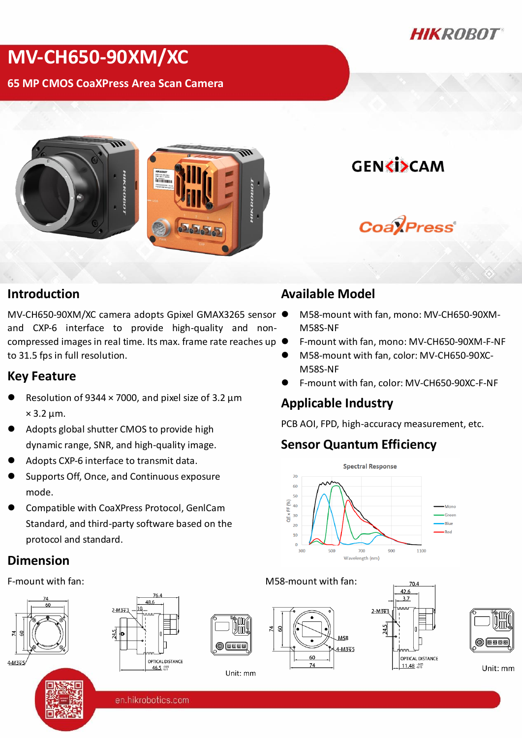

# **MV-CH650-90XM/XC**

**65 MP CMOS CoaXPress Area Scan Camera**

**GENKISCAM** 

**CoalPress** 

#### **Introduction**

MV-CH650-90XM/XC camera adopts Gpixel GMAX3265 sensor and CXP-6 interface to provide high-quality and noncompressed images in real time. Its max. frame rate reaches up to 31.5 fps in full resolution.

#### **Key Feature**

- Resolution of 9344  $\times$  7000, and pixel size of 3.2  $\mu$ m  $\times$  3.2 µm.
- Adopts global shutter CMOS to provide high dynamic range, SNR, and high-quality image.
- Adopts CXP-6 interface to transmit data.
- Supports Off, Once, and Continuous exposure mode.
- Compatible with CoaXPress Protocol, GenlCam Standard, and third-party software based on the protocol and standard.

#### **Dimension**







Unit: mm

### **Available Model**

- M58-mount with fan, mono: MV-CH650-90XM-M58S-NF
- F-mount with fan, mono: MV-CH650-90XM-F-NF
- M58-mount with fan, color: MV-CH650-90XC-M58S-NF
- F-mount with fan, color: MV-CH650-90XC-F-NF

#### **Applicable Industry**

PCB AOI, FPD, high-accuracy measurement, etc.

### **Sensor Quantum Efficiency**



#### F-mount with fan: M58-mount with fan:







Unit: mm

en.hikrobotics.com